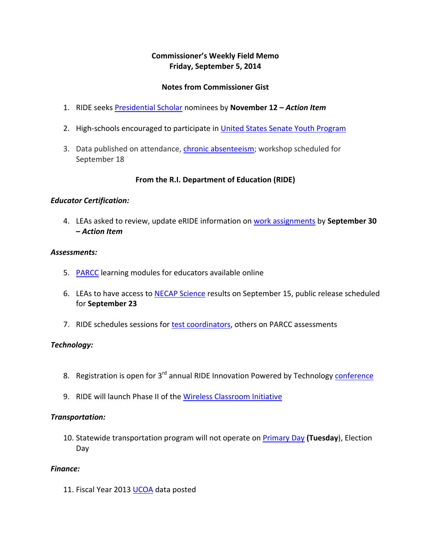# **Commissioner's Weekly Field Memo Friday, September 5, 2014**

# **Notes from Commissioner Gist**

- 1. RIDE seeks Presidential Scholar nominees by **November 12 –** *Action Item*
- 2. High-schools encouraged to participate in United States Senate Youth Program
- 3. Data published on attendance, chronic absenteeism; workshop scheduled for September 18

## **From the R.I. Department of Education (RIDE)**

## *Educator Certification:*

4. LEAs asked to review, update eRIDE information on work assignments by **September 30 –** *Action Item*

#### *Assessments:*

- 5. PARCC learning modules for educators available online
- 6. LEAs to have access to NECAP Science results on September 15, public release scheduled for **September 23**
- 7. RIDE schedules sessions for test coordinators, others on PARCC assessments

## *Technology:*

- 8. Registration is open for 3<sup>rd</sup> annual RIDE Innovation Powered by Technology conference
- 9. RIDE will launch Phase II of the Wireless Classroom Initiative

#### *Transportation:*

10. Statewide transportation program will not operate on Primary Day **(Tuesday**), Election Day

## *Finance:*

11. Fiscal Year 2013 **UCOA** data posted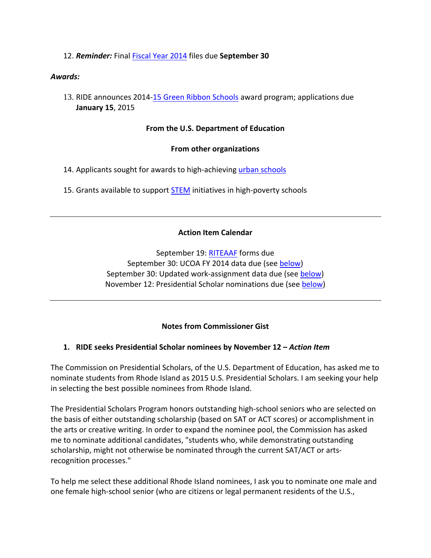12. *Reminder:* Final Fiscal Year 2014 files due **September 30**

### *Awards:*

13. RIDE announces 2014‐15 Green Ribbon Schools award program; applications due **January 15**, 2015

### **From the U.S. Department of Education**

#### **From other organizations**

14. Applicants sought for awards to high-achieving urban schools

15. Grants available to support **STEM** initiatives in high-poverty schools

## **Action Item Calendar**

September 19: RITEAAF forms due September 30: UCOA FY 2014 data due (see below) September 30: Updated work-assignment data due (see below) November 12: Presidential Scholar nominations due (see below)

## **Notes from Commissioner Gist**

## **1. RIDE seeks Presidential Scholar nominees by November 12 –** *Action Item*

The Commission on Presidential Scholars, of the U.S. Department of Education, has asked me to nominate students from Rhode Island as 2015 U.S. Presidential Scholars. I am seeking your help in selecting the best possible nominees from Rhode Island.

The Presidential Scholars Program honors outstanding high‐school seniors who are selected on the basis of either outstanding scholarship (based on SAT or ACT scores) or accomplishment in the arts or creative writing. In order to expand the nominee pool, the Commission has asked me to nominate additional candidates, "students who, while demonstrating outstanding scholarship, might not otherwise be nominated through the current SAT/ACT or arts‐ recognition processes."

To help me select these additional Rhode Island nominees, I ask you to nominate one male and one female high-school senior (who are citizens or legal permanent residents of the U.S.,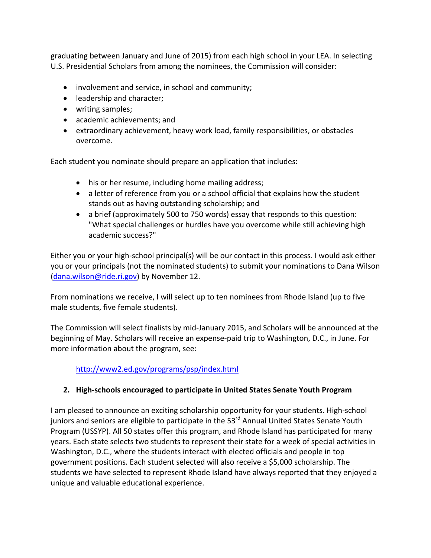graduating between January and June of 2015) from each high school in your LEA. In selecting U.S. Presidential Scholars from among the nominees, the Commission will consider:

- involvement and service, in school and community;
- leadership and character;
- writing samples;
- academic achievements; and
- extraordinary achievement, heavy work load, family responsibilities, or obstacles overcome.

Each student you nominate should prepare an application that includes:

- his or her resume, including home mailing address;
- a letter of reference from you or a school official that explains how the student stands out as having outstanding scholarship; and
- a brief (approximately 500 to 750 words) essay that responds to this question: "What special challenges or hurdles have you overcome while still achieving high academic success?"

Either you or your high-school principal(s) will be our contact in this process. I would ask either you or your principals (not the nominated students) to submit your nominations to Dana Wilson (dana.wilson@ride.ri.gov) by November 12.

From nominations we receive, I will select up to ten nominees from Rhode Island (up to five male students, five female students).

The Commission will select finalists by mid‐January 2015, and Scholars will be announced at the beginning of May. Scholars will receive an expense‐paid trip to Washington, D.C., in June. For more information about the program, see:

http://www2.ed.gov/programs/psp/index.html

# **2. High‐schools encouraged to participate in United States Senate Youth Program**

I am pleased to announce an exciting scholarship opportunity for your students. High‐school juniors and seniors are eligible to participate in the 53<sup>rd</sup> Annual United States Senate Youth Program (USSYP). All 50 states offer this program, and Rhode Island has participated for many years. Each state selects two students to represent their state for a week of special activities in Washington, D.C., where the students interact with elected officials and people in top government positions. Each student selected will also receive a \$5,000 scholarship. The students we have selected to represent Rhode Island have always reported that they enjoyed a unique and valuable educational experience.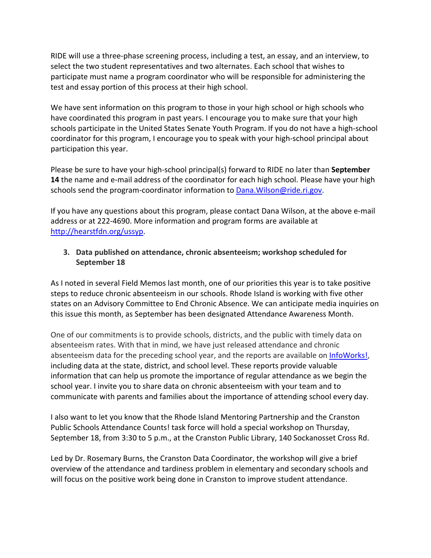RIDE will use a three‐phase screening process, including a test, an essay, and an interview, to select the two student representatives and two alternates. Each school that wishes to participate must name a program coordinator who will be responsible for administering the test and essay portion of this process at their high school.

We have sent information on this program to those in your high school or high schools who have coordinated this program in past years. I encourage you to make sure that your high schools participate in the United States Senate Youth Program. If you do not have a high‐school coordinator for this program, I encourage you to speak with your high‐school principal about participation this year.

Please be sure to have your high‐school principal(s) forward to RIDE no later than **September 14** the name and e-mail address of the coordinator for each high school. Please have your high schools send the program-coordinator information to Dana. Wilson@ride.ri.gov.

If you have any questions about this program, please contact Dana Wilson, at the above e‐mail address or at 222‐4690. More information and program forms are available at http://hearstfdn.org/ussyp.

# **3. Data published on attendance, chronic absenteeism; workshop scheduled for September 18**

As I noted in several Field Memos last month, one of our priorities this year is to take positive steps to reduce chronic absenteeism in our schools. Rhode Island is working with five other states on an Advisory Committee to End Chronic Absence. We can anticipate media inquiries on this issue this month, as September has been designated Attendance Awareness Month.

One of our commitments is to provide schools, districts, and the public with timely data on absenteeism rates. With that in mind, we have just released attendance and chronic absenteeism data for the preceding school year, and the reports are available on **InfoWorks!**, including data at the state, district, and school level. These reports provide valuable information that can help us promote the importance of regular attendance as we begin the school year. I invite you to share data on chronic absenteeism with your team and to communicate with parents and families about the importance of attending school every day.

I also want to let you know that the Rhode Island Mentoring Partnership and the Cranston Public Schools Attendance Counts! task force will hold a special workshop on Thursday, September 18, from 3:30 to 5 p.m., at the Cranston Public Library, 140 Sockanosset Cross Rd.

Led by Dr. Rosemary Burns, the Cranston Data Coordinator, the workshop will give a brief overview of the attendance and tardiness problem in elementary and secondary schools and will focus on the positive work being done in Cranston to improve student attendance.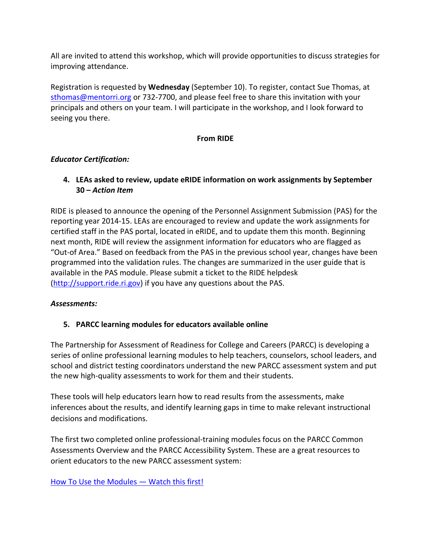All are invited to attend this workshop, which will provide opportunities to discuss strategies for improving attendance.

Registration is requested by **Wednesday** (September 10). To register, contact Sue Thomas, at sthomas@mentorri.org or 732‐7700, and please feel free to share this invitation with your principals and others on your team. I will participate in the workshop, and I look forward to seeing you there.

# **From RIDE**

# *Educator Certification:*

**4. LEAs asked to review, update eRIDE information on work assignments by September 30 –** *Action Item*

RIDE is pleased to announce the opening of the Personnel Assignment Submission (PAS) for the reporting year 2014‐15. LEAs are encouraged to review and update the work assignments for certified staff in the PAS portal, located in eRIDE, and to update them this month. Beginning next month, RIDE will review the assignment information for educators who are flagged as "Out‐of Area." Based on feedback from the PAS in the previous school year, changes have been programmed into the validation rules. The changes are summarized in the user guide that is available in the PAS module. Please submit a ticket to the RIDE helpdesk (http://support.ride.ri.gov) if you have any questions about the PAS.

# *Assessments:*

# **5. PARCC learning modules for educators available online**

The Partnership for Assessment of Readiness for College and Careers (PARCC) is developing a series of online professional learning modules to help teachers, counselors, school leaders, and school and district testing coordinators understand the new PARCC assessment system and put the new high‐quality assessments to work for them and their students.

These tools will help educators learn how to read results from the assessments, make inferences about the results, and identify learning gaps in time to make relevant instructional decisions and modifications.

The first two completed online professional‐training modules focus on the PARCC Common Assessments Overview and the PARCC Accessibility System. These are a great resources to orient educators to the new PARCC assessment system:

# How To Use the Modules — Watch this first!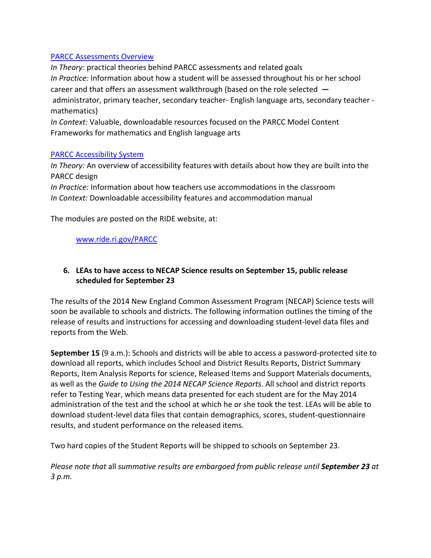## PARCC Assessments Overview

*In Theory:* practical theories behind PARCC assessments and related goals *In Practice:* Information about how a student will be assessed throughout his or her school career and that offers an assessment walkthrough (based on the role selected  administrator, primary teacher, secondary teacher‐ English language arts, secondary teacher ‐ mathematics)

*In Context:* Valuable, downloadable resources focused on the PARCC Model Content Frameworks for mathematics and English language arts

## PARCC Accessibility System

*In Theory:* An overview of accessibility features with details about how they are built into the PARCC design

*In Practice:* Information about how teachers use accommodations in the classroom *In Context:* Downloadable accessibility features and accommodation manual

The modules are posted on the RIDE website, at:

## www.ride.ri.gov/PARCC

# **6. LEAs to have access to NECAP Science results on September 15, public release scheduled for September 23**

The results of the 2014 New England Common Assessment Program (NECAP) Science tests will soon be available to schools and districts. The following information outlines the timing of the release of results and instructions for accessing and downloading student‐level data files and reports from the Web.

**September 15** (9 a.m.): Schools and districts will be able to access a password‐protected site to download all reports, which includes School and District Results Reports, District Summary Reports, Item Analysis Reports for science, Released Items and Support Materials documents, as well as the *Guide to Using the 2014 NECAP Science Reports*. All school and district reports refer to Testing Year, which means data presented for each student are for the May 2014 administration of the test and the school at which he or she took the test. LEAs will be able to download student‐level data files that contain demographics, scores, student‐questionnaire results, and student performance on the released items.

Two hard copies of the Student Reports will be shipped to schools on September 23.

*Please note that* all *summative results are embargoed from public release until September 23 at 3 p.m.*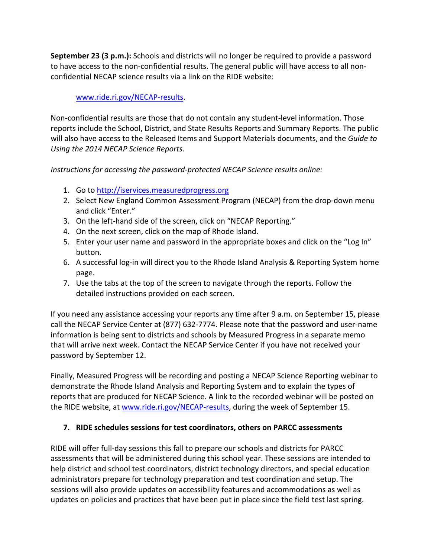**September 23 (3 p.m.):** Schools and districts will no longer be required to provide a password to have access to the non-confidential results. The general public will have access to all nonconfidential NECAP science results via a link on the RIDE website:

# www.ride.ri.gov/NECAP‐results.

Non‐confidential results are those that do not contain any student‐level information. Those reports include the School, District, and State Results Reports and Summary Reports. The public will also have access to the Released Items and Support Materials documents, and the *Guide to Using the 2014 NECAP Science Reports*.

*Instructions for accessing the password‐protected NECAP Science results online:*

- 1. Go to http://iservices.measuredprogress.org
- 2. Select New England Common Assessment Program (NECAP) from the drop-down menu and click "Enter."
- 3. On the left-hand side of the screen, click on "NECAP Reporting."
- 4. On the next screen, click on the map of Rhode Island.
- 5. Enter your user name and password in the appropriate boxes and click on the "Log In" button.
- 6. A successful log‐in will direct you to the Rhode Island Analysis & Reporting System home page.
- 7. Use the tabs at the top of the screen to navigate through the reports. Follow the detailed instructions provided on each screen.

If you need any assistance accessing your reports any time after 9 a.m. on September 15, please call the NECAP Service Center at (877) 632‐7774. Please note that the password and user‐name information is being sent to districts and schools by Measured Progress in a separate memo that will arrive next week. Contact the NECAP Service Center if you have not received your password by September 12.

Finally, Measured Progress will be recording and posting a NECAP Science Reporting webinar to demonstrate the Rhode Island Analysis and Reporting System and to explain the types of reports that are produced for NECAP Science. A link to the recorded webinar will be posted on the RIDE website, at www.ride.ri.gov/NECAP-results, during the week of September 15.

# **7. RIDE schedules sessions for test coordinators, others on PARCC assessments**

RIDE will offer full‐day sessions this fall to prepare our schools and districts for PARCC assessments that will be administered during this school year. These sessions are intended to help district and school test coordinators, district technology directors, and special education administrators prepare for technology preparation and test coordination and setup. The sessions will also provide updates on accessibility features and accommodations as well as updates on policies and practices that have been put in place since the field test last spring.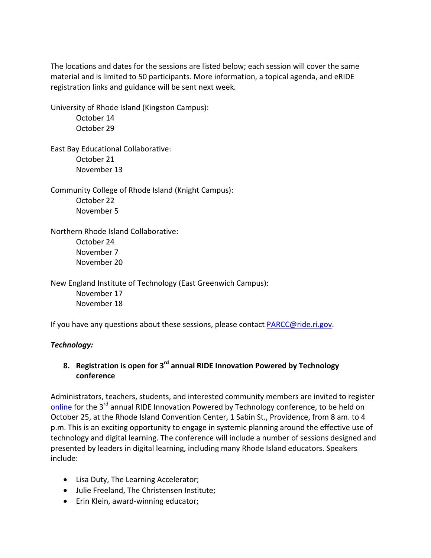The locations and dates for the sessions are listed below; each session will cover the same material and is limited to 50 participants. More information, a topical agenda, and eRIDE registration links and guidance will be sent next week.

University of Rhode Island (Kingston Campus): October 14 October 29

East Bay Educational Collaborative: October 21 November 13

Community College of Rhode Island (Knight Campus): October 22 November 5

Northern Rhode Island Collaborative: October 24 November 7 November 20

New England Institute of Technology (East Greenwich Campus): November 17 November 18

If you have any questions about these sessions, please contact PARCC@ride.ri.gov.

# *Technology:*

# **8. Registration is open for 3rd annual RIDE Innovation Powered by Technology conference**

Administrators, teachers, students, and interested community members are invited to register online for the 3<sup>rd</sup> annual RIDE Innovation Powered by Technology conference, to be held on October 25, at the Rhode Island Convention Center, 1 Sabin St., Providence, from 8 am. to 4 p.m. This is an exciting opportunity to engage in systemic planning around the effective use of technology and digital learning. The conference will include a number of sessions designed and presented by leaders in digital learning, including many Rhode Island educators. Speakers include:

- Lisa Duty, The Learning Accelerator;
- Julie Freeland, The Christensen Institute;
- Erin Klein, award-winning educator;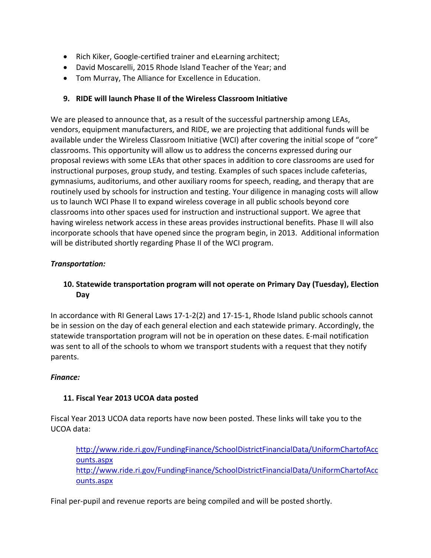- Rich Kiker, Google-certified trainer and eLearning architect;
- David Moscarelli, 2015 Rhode Island Teacher of the Year; and
- Tom Murray, The Alliance for Excellence in Education.

# **9. RIDE will launch Phase II of the Wireless Classroom Initiative**

We are pleased to announce that, as a result of the successful partnership among LEAs, vendors, equipment manufacturers, and RIDE, we are projecting that additional funds will be available under the Wireless Classroom Initiative (WCI) after covering the initial scope of "core" classrooms. This opportunity will allow us to address the concerns expressed during our proposal reviews with some LEAs that other spaces in addition to core classrooms are used for instructional purposes, group study, and testing. Examples of such spaces include cafeterias, gymnasiums, auditoriums, and other auxiliary rooms for speech, reading, and therapy that are routinely used by schools for instruction and testing. Your diligence in managing costs will allow us to launch WCI Phase II to expand wireless coverage in all public schools beyond core classrooms into other spaces used for instruction and instructional support. We agree that having wireless network access in these areas provides instructional benefits. Phase II will also incorporate schools that have opened since the program begin, in 2013. Additional information will be distributed shortly regarding Phase II of the WCI program.

# *Transportation:*

# **10. Statewide transportation program will not operate on Primary Day (Tuesday), Election Day**

In accordance with RI General Laws 17‐1‐2(2) and 17‐15‐1, Rhode Island public schools cannot be in session on the day of each general election and each statewide primary. Accordingly, the statewide transportation program will not be in operation on these dates. E‐mail notification was sent to all of the schools to whom we transport students with a request that they notify parents.

# *Finance:*

# **11. Fiscal Year 2013 UCOA data posted**

Fiscal Year 2013 UCOA data reports have now been posted. These links will take you to the UCOA data:

http://www.ride.ri.gov/FundingFinance/SchoolDistrictFinancialData/UniformChartofAcc ounts.aspx http://www.ride.ri.gov/FundingFinance/SchoolDistrictFinancialData/UniformChartofAcc ounts.aspx

Final per‐pupil and revenue reports are being compiled and will be posted shortly.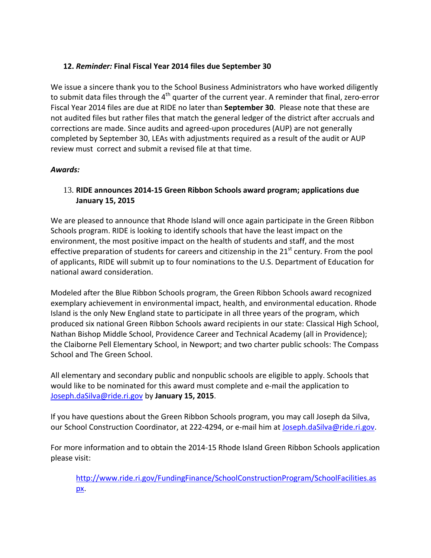# **12.** *Reminder:* **Final Fiscal Year 2014 files due September 30**

We issue a sincere thank you to the School Business Administrators who have worked diligently to submit data files through the 4<sup>th</sup> quarter of the current year. A reminder that final, zero-error Fiscal Year 2014 files are due at RIDE no later than **September 30**. Please note that these are not audited files but rather files that match the general ledger of the district after accruals and corrections are made. Since audits and agreed‐upon procedures (AUP) are not generally completed by September 30, LEAs with adjustments required as a result of the audit or AUP review must correct and submit a revised file at that time.

# *Awards:*

13. **RIDE announces 2014‐15 Green Ribbon Schools award program; applications due January 15, 2015**

We are pleased to announce that Rhode Island will once again participate in the Green Ribbon Schools program. RIDE is looking to identify schools that have the least impact on the environment, the most positive impact on the health of students and staff, and the most effective preparation of students for careers and citizenship in the  $21<sup>st</sup>$  century. From the pool of applicants, RIDE will submit up to four nominations to the U.S. Department of Education for national award consideration.

Modeled after the Blue Ribbon Schools program, the Green Ribbon Schools award recognized exemplary achievement in environmental impact, health, and environmental education. Rhode Island is the only New England state to participate in all three years of the program, which produced six national Green Ribbon Schools award recipients in our state: Classical High School, Nathan Bishop Middle School, Providence Career and Technical Academy (all in Providence); the Claiborne Pell Elementary School, in Newport; and two charter public schools: The Compass School and The Green School.

All elementary and secondary public and nonpublic schools are eligible to apply. Schools that would like to be nominated for this award must complete and e-mail the application to Joseph.daSilva@ride.ri.gov by **January 15, 2015**.

If you have questions about the Green Ribbon Schools program, you may call Joseph da Silva, our School Construction Coordinator, at 222-4294, or e-mail him at Joseph.daSilva@ride.ri.gov.

For more information and to obtain the 2014‐15 Rhode Island Green Ribbon Schools application please visit:

http://www.ride.ri.gov/FundingFinance/SchoolConstructionProgram/SchoolFacilities.as px.